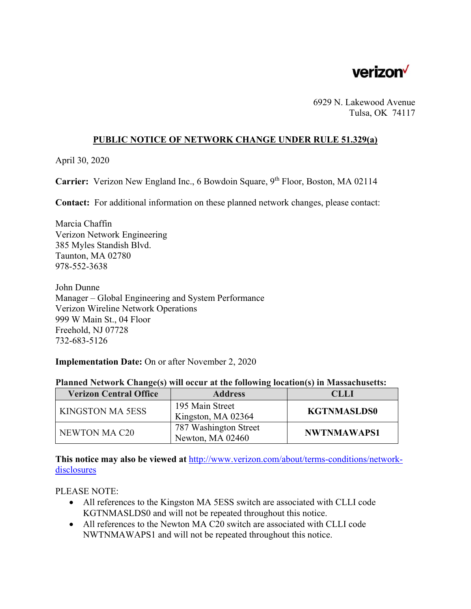

6929 N. Lakewood Avenue Tulsa, OK 74117

### **PUBLIC NOTICE OF NETWORK CHANGE UNDER RULE 51.329(a)**

April 30, 2020

Carrier: Verizon New England Inc., 6 Bowdoin Square, 9<sup>th</sup> Floor, Boston, MA 02114

**Contact:** For additional information on these planned network changes, please contact:

Marcia Chaffin Verizon Network Engineering 385 Myles Standish Blvd. Taunton, MA 02780 978-552-3638

John Dunne Manager – Global Engineering and System Performance Verizon Wireline Network Operations 999 W Main St., 04 Floor Freehold, NJ 07728 732-683-5126

#### **Implementation Date:** On or after November 2, 2020

| <b>Verizon Central Office</b> | <b>Address</b>                            | <b>CLLI</b>        |
|-------------------------------|-------------------------------------------|--------------------|
| <b>KINGSTON MA 5ESS</b>       | 195 Main Street<br>Kingston, MA 02364     | <b>KGTNMASLDS0</b> |
| NEWTON MA C20                 | 787 Washington Street<br>Newton, MA 02460 | NWTNMAWAPS1        |

#### **Planned Network Change(s) will occur at the following location(s) in Massachusetts:**

**This notice may also be viewed at** http://www.verizon.com/about/terms-conditions/networkdisclosures

PLEASE NOTE:

- All references to the Kingston MA 5ESS switch are associated with CLLI code KGTNMASLDS0 and will not be repeated throughout this notice.
- All references to the Newton MA C20 switch are associated with CLLI code NWTNMAWAPS1 and will not be repeated throughout this notice.